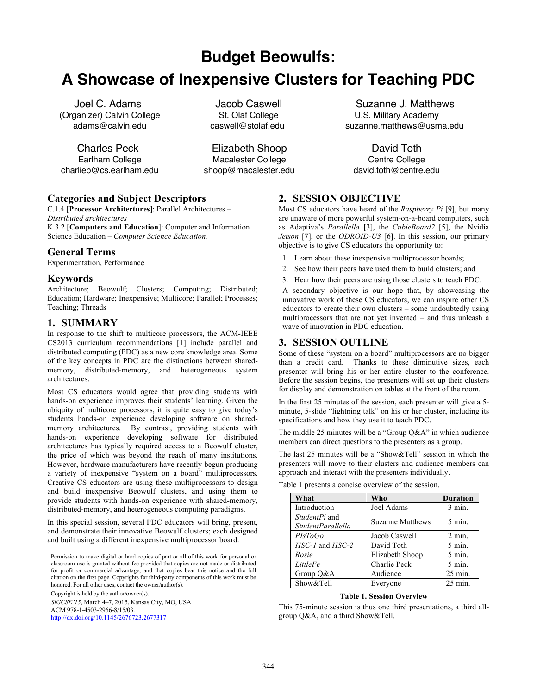**Budget Beowulfs:**

# **A Showcase of Inexpensive Clusters for Teaching PDC**

Joel C. Adams (Organizer) Calvin College adams@calvin.edu

Charles Peck Earlham College charliep@cs.earlham.edu

Jacob Caswell St. Olaf College caswell@stolaf.edu

Elizabeth Shoop Macalester College shoop@macalester.edu

Suzanne J. Matthews U.S. Military Academy suzanne.matthews@usma.edu

David Toth Centre College david.toth@centre.edu

## **Categories and Subject Descriptors**

C.1.4 [**Processor Architectures**]: Parallel Architectures – *Distributed architectures* K.3.2 [**Computers and Education**]: Computer and Information Science Education – *Computer Science Education.* 

## **General Terms**

Experimentation, Performance

## **Keywords**

Architecture; Beowulf; Clusters; Computing; Distributed; Education; Hardware; Inexpensive; Multicore; Parallel; Processes; Teaching; Threads

## **1. SUMMARY**

In response to the shift to multicore processors, the ACM-IEEE CS2013 curriculum recommendations [1] include parallel and distributed computing (PDC) as a new core knowledge area. Some of the key concepts in PDC are the distinctions between sharedmemory, distributed-memory, and heterogeneous system architectures.

Most CS educators would agree that providing students with hands-on experience improves their students' learning. Given the ubiquity of multicore processors, it is quite easy to give today's students hands-on experience developing software on sharedmemory architectures. By contrast, providing students with hands-on experience developing software for distributed architectures has typically required access to a Beowulf cluster, the price of which was beyond the reach of many institutions. However, hardware manufacturers have recently begun producing a variety of inexpensive "system on a board" multiprocessors. Creative CS educators are using these multiprocessors to design and build inexpensive Beowulf clusters, and using them to provide students with hands-on experience with shared-memory, distributed-memory, and heterogeneous computing paradigms.

In this special session, several PDC educators will bring, present, and demonstrate their innovative Beowulf clusters; each designed and built using a different inexpensive multiprocessor board.

Permission to make digital or hard copies of part or all of this work for personal or classroom use is granted without fee provided that copies are not made or distributed for profit or commercial advantage, and that copies bear this notice and the full citation on the first page. Copyrights for third-party components of this work must be honored. For all other uses, contact the owner/author(s). Copyright is held by the author/owner(s).

*SIGCSE'15*, March 4–7, 2015, Kansas City, MO, USA ACM 978-1-4503-2966-8/15/03. http://dx.doi.org/10.1145/2676723.2677317

## **2. SESSION OBJECTIVE**

Most CS educators have heard of the *Raspberry Pi* [9], but many are unaware of more powerful system-on-a-board computers, such as Adaptiva's *Parallella* [3], the *CubieBoard2* [5], the Nvidia *Jetson* [7], or the *ODROID-U3* [6]. In this session, our primary objective is to give CS educators the opportunity to:

- 1. Learn about these inexpensive multiprocessor boards;
- 2. See how their peers have used them to build clusters; and
- 3. Hear how their peers are using those clusters to teach PDC.

A secondary objective is our hope that, by showcasing the innovative work of these CS educators, we can inspire other CS educators to create their own clusters – some undoubtedly using multiprocessors that are not yet invented – and thus unleash a wave of innovation in PDC education.

## **3. SESSION OUTLINE**

Some of these "system on a board" multiprocessors are no bigger than a credit card. Thanks to these diminutive sizes, each presenter will bring his or her entire cluster to the conference. Before the session begins, the presenters will set up their clusters for display and demonstration on tables at the front of the room.

In the first 25 minutes of the session, each presenter will give a 5 minute, 5-slide "lightning talk" on his or her cluster, including its specifications and how they use it to teach PDC.

The middle 25 minutes will be a "Group Q&A" in which audience members can direct questions to the presenters as a group.

The last 25 minutes will be a "Show&Tell" session in which the presenters will move to their clusters and audience members can approach and interact with the presenters individually.

| What                               | Who                     | <b>Duration</b>    |
|------------------------------------|-------------------------|--------------------|
| Introduction                       | Joel Adams              | $3$ min.           |
| StudentPi and<br>StudentParallella | <b>Suzanne Matthews</b> | $5 \text{ min}$ .  |
| PIsToGo                            | Jacob Caswell           | $2$ min.           |
| $HSC-1$ and $HSC-2$                | David Toth              | $5 \text{ min}$ .  |
| Rosie                              | Elizabeth Shoop         | $5$ min.           |
| LittleFe                           | Charlie Peck            | $5$ min.           |
| Group Q&A                          | Audience                | $25$ min.          |
| Show&Tell                          | Everyone                | $25 \text{ min}$ . |

Table 1 presents a concise overview of the session.

#### **Table 1. Session Overview**

This 75-minute session is thus one third presentations, a third allgroup Q&A, and a third Show&Tell.